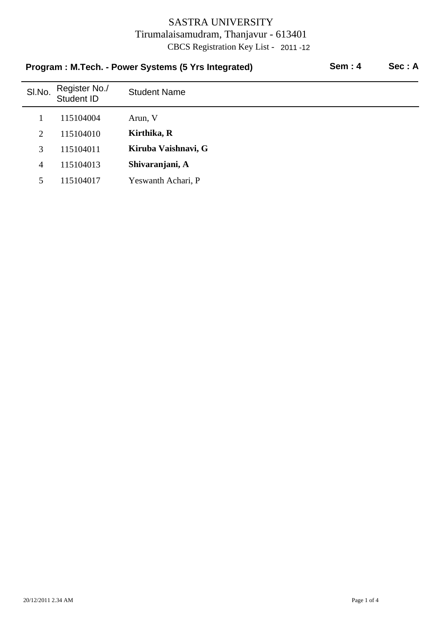| Program: M.Tech. - Power Systems (5 Yrs Integrated) |                             |                     | <b>Sem: 4</b> | Sec: A |
|-----------------------------------------------------|-----------------------------|---------------------|---------------|--------|
| SI.No.                                              | Register No./<br>Student ID | <b>Student Name</b> |               |        |
|                                                     | 115104004                   | Arun, V             |               |        |
| 2                                                   | 115104010                   | Kirthika, R         |               |        |
| 3                                                   | 115104011                   | Kiruba Vaishnavi, G |               |        |
| $\overline{4}$                                      | 115104013                   | Shivaranjani, A     |               |        |
| 5.                                                  | 115104017                   | Yeswanth Achari, P  |               |        |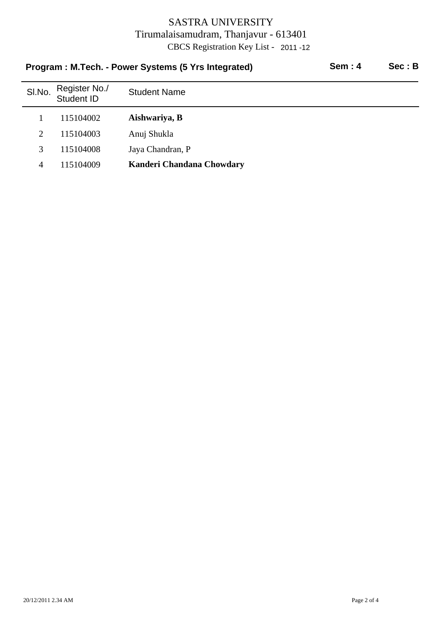| Program: M.Tech. - Power Systems (5 Yrs Integrated) |                             |                           | Sem:4 | Sec : B |
|-----------------------------------------------------|-----------------------------|---------------------------|-------|---------|
| SI.No.                                              | Register No./<br>Student ID | <b>Student Name</b>       |       |         |
|                                                     | 115104002                   | Aishwariya, B             |       |         |
| 2                                                   | 115104003                   | Anuj Shukla               |       |         |
| 3                                                   | 115104008                   | Jaya Chandran, P          |       |         |
| 4                                                   | 115104009                   | Kanderi Chandana Chowdary |       |         |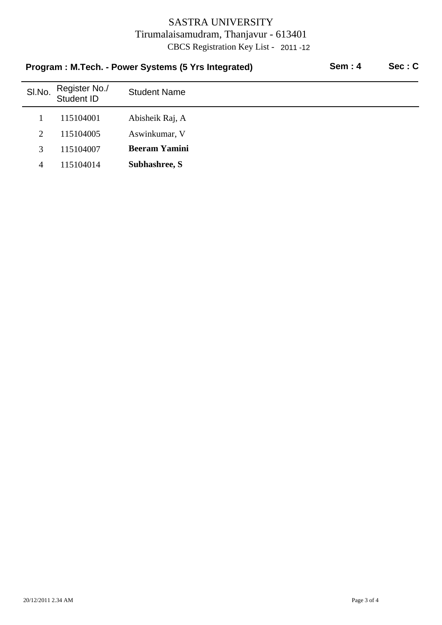| Program: M.Tech. - Power Systems (5 Yrs Integrated) |                             |                      | Sem:4 | Sec: C |
|-----------------------------------------------------|-----------------------------|----------------------|-------|--------|
| SI.No.                                              | Register No./<br>Student ID | <b>Student Name</b>  |       |        |
|                                                     | 115104001                   | Abisheik Raj, A      |       |        |
| 2                                                   | 115104005                   | Aswinkumar, V        |       |        |
| 3                                                   | 115104007                   | <b>Beeram Yamini</b> |       |        |
| 4                                                   | 115104014                   | Subhashree, S        |       |        |